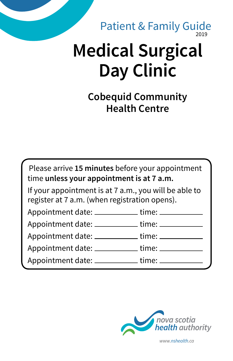#### 2019 Patient & Family Guide

# **Medical Surgical Day Clinic**

**Cobequid Community Health Centre**

Please arrive **15 minutes** before your appointment time **unless your appointment is at 7 a.m.**

If your appointment is at 7 a.m., you will be able to register at 7 a.m. (when registration opens).

| Appointment date: ___ | time: __ |
|-----------------------|----------|
| Appointment date: _   | time:    |
| Appointment date: ___ | time: _  |

| Appointment date:<br>time: |  |
|----------------------------|--|
|----------------------------|--|

| Appointment date: | time: |
|-------------------|-------|
|                   |       |

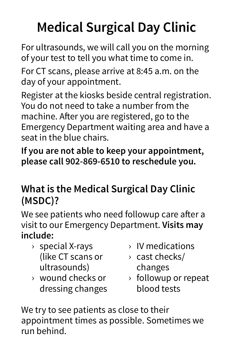## **Medical Surgical Day Clinic**

For ultrasounds, we will call you on the morning of your test to tell you what time to come in.

For CT scans, please arrive at 8:45 a.m. on the day of your appointment.

Register at the kiosks beside central registration. You do not need to take a number from the machine. After you are registered, go to the Emergency Department waiting area and have a seat in the blue chairs.

**If you are not able to keep your appointment, please call 902-869-6510 to reschedule you.**

### **What is the Medical Surgical Day Clinic (MSDC)?**

We see patients who need followup care after a visit to our Emergency Department. **Visits may include:**

- › special X-rays (like CT scans or ultrasounds)
- › wound checks or dressing changes
- › IV medications
- › cast checks/ changes
- › followup or repeat blood tests

We try to see patients as close to their appointment times as possible. Sometimes we run behind.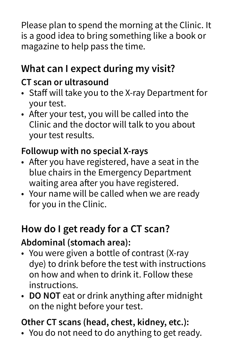Please plan to spend the morning at the Clinic. It is a good idea to bring something like a book or magazine to help pass the time.

## **What can I expect during my visit?**

#### **CT scan or ultrasound**

- Staff will take you to the X-ray Department for your test.
- After your test, you will be called into the Clinic and the doctor will talk to you about your test results.

#### **Followup with no special X-rays**

- After you have registered, have a seat in the blue chairs in the Emergency Department waiting area after you have registered.
- Your name will be called when we are ready for you in the Clinic.

#### **How do I get ready for a CT scan? Abdominal (stomach area):**

- You were given a bottle of contrast (X-ray dye) to drink before the test with instructions on how and when to drink it. Follow these instructions.
- **DO NOT** eat or drink anything after midnight on the night before your test.

#### **Other CT scans (head, chest, kidney, etc.):**

• You do not need to do anything to get ready.